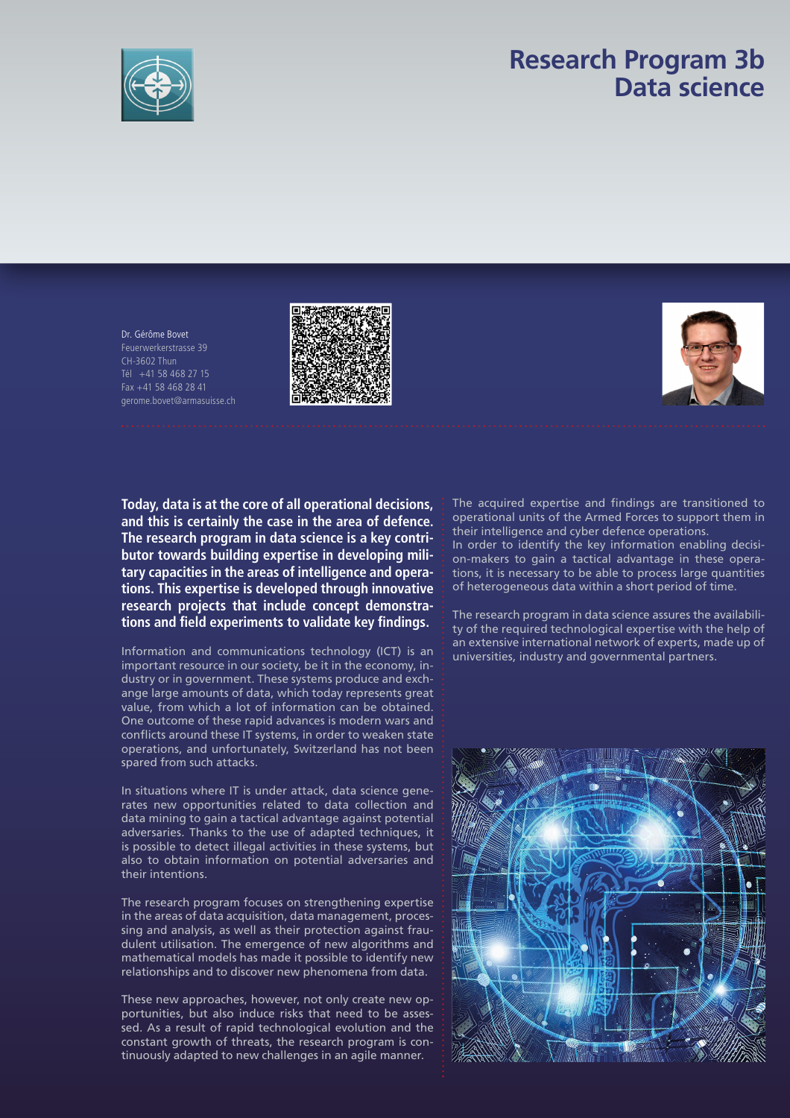

## **Research Program 3b Data science**

Dr. Gérôme Bovet Feuerwerkerstrasse 39 CH-3602 Thun Tél +41 58 468 27 15 Fax +41 58 468 28 41 gerome.bovet@armasuisse.ch





**Today, data is at the core of all operational decisions, and this is certainly the case in the area of defence. The research program in data science is a key contributor towards building expertise in developing military capacities in the areas of intelligence and operations. This expertise is developed through innovative research projects that include concept demonstrations and fi eld experiments to validate key fi ndings.**

Information and communications technology (ICT) is an important resource in our society, be it in the economy, industry or in government. These systems produce and exchange large amounts of data, which today represents great value, from which a lot of information can be obtained. One outcome of these rapid advances is modern wars and conflicts around these IT systems, in order to weaken state operations, and unfortunately, Switzerland has not been spared from such attacks.

In situations where IT is under attack, data science generates new opportunities related to data collection and data mining to gain a tactical advantage against potential adversaries. Thanks to the use of adapted techniques, it is possible to detect illegal activities in these systems, but also to obtain information on potential adversaries and their intentions.

The research program focuses on strengthening expertise in the areas of data acquisition, data management, processing and analysis, as well as their protection against fraudulent utilisation. The emergence of new algorithms and mathematical models has made it possible to identify new relationships and to discover new phenomena from data.

These new approaches, however, not only create new opportunities, but also induce risks that need to be assessed. As a result of rapid technological evolution and the constant growth of threats, the research program is continuously adapted to new challenges in an agile manner.

The acquired expertise and findings are transitioned to operational units of the Armed Forces to support them in their intelligence and cyber defence operations.

In order to identify the key information enabling decision-makers to gain a tactical advantage in these operations, it is necessary to be able to process large quantities of heterogeneous data within a short period of time.

The research program in data science assures the availability of the required technological expertise with the help of an extensive international network of experts, made up of universities, industry and governmental partners.